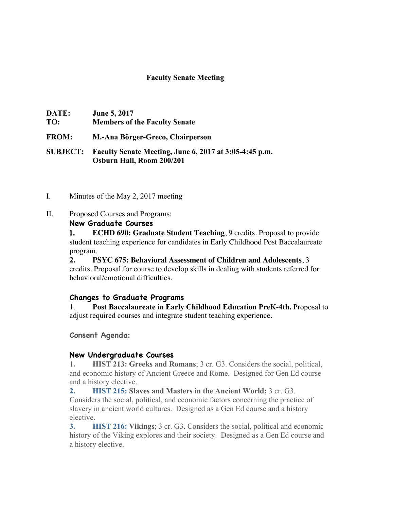#### **Faculty Senate Meeting**

| <b>DATE:</b> | <b>June 5, 2017</b>                  |
|--------------|--------------------------------------|
| TO:          | <b>Members of the Faculty Senate</b> |
| <b>FROM:</b> | M.-Ana Börger-Greco, Chairperson     |

**SUBJECT: Faculty Senate Meeting, June 6, 2017 at 3:05-4:45 p.m. Osburn Hall, Room 200/201**

- I. Minutes of the May 2, 2017 meeting
- II. Proposed Courses and Programs:

#### **New Graduate Courses**

**1. ECHD 690: Graduate Student Teaching**, 9 credits. Proposal to provide student teaching experience for candidates in Early Childhood Post Baccalaureate program.

**2. PSYC 675: Behavioral Assessment of Children and Adolescents**, 3 credits. Proposal for course to develop skills in dealing with students referred for behavioral/emotional difficulties.

### **Changes to Graduate Programs**

1. **Post Baccalaureate in Early Childhood Education PreK-4th.** Proposal to adjust required courses and integrate student teaching experience.

### **Consent Agenda:**

### **New Undergraduate Courses**

1**. HIST 213: Greeks and Romans**; 3 cr. G3. Considers the social, political, and economic history of Ancient Greece and Rome. Designed for Gen Ed course and a history elective.

**2. HIST 215: Slaves and Masters in the Ancient World;** 3 cr. G3. Considers the social, political, and economic factors concerning the practice of slavery in ancient world cultures. Designed as a Gen Ed course and a history elective.

**3. HIST 216: Vikings**; 3 cr. G3. Considers the social, political and economic history of the Viking explores and their society. Designed as a Gen Ed course and a history elective.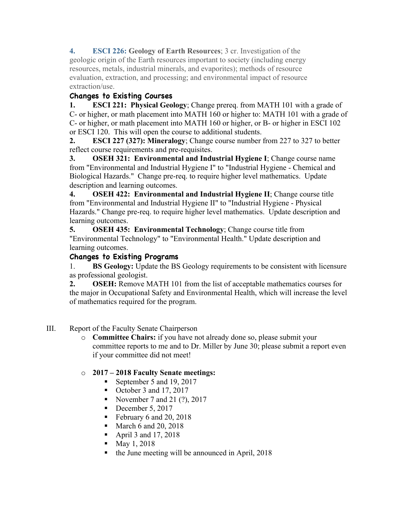**4. ESCI 226: Geology of Earth Resources**; 3 cr. Investigation of the geologic origin of the Earth resources important to society (including energy resources, metals, industrial minerals, and evaporites); methods of resource evaluation, extraction, and processing; and environmental impact of resource extraction/use.

# **Changes to Existing Courses**

**1. ESCI 221: Physical Geology**; Change prereq. from MATH 101 with a grade of C- or higher, or math placement into MATH 160 or higher to: MATH 101 with a grade of C- or higher, or math placement into MATH 160 or higher, or B- or higher in ESCI 102 or ESCI 120. This will open the course to additional students.

**2. ESCI 227 (327): Mineralogy**; Change course number from 227 to 327 to better reflect course requirements and pre-requisites.

**3. OSEH 321: Environmental and Industrial Hygiene I**; Change course name from "Environmental and Industrial Hygiene I" to "Industrial Hygiene - Chemical and Biological Hazards." Change pre-req. to require higher level mathematics. Update description and learning outcomes.

**4. OSEH 422: Environmental and Industrial Hygiene II**; Change course title from "Environmental and Industrial Hygiene II" to "Industrial Hygiene - Physical Hazards." Change pre-req. to require higher level mathematics. Update description and learning outcomes.

**5. OSEH 435: Environmental Technology**; Change course title from "Environmental Technology" to "Environmental Health." Update description and learning outcomes.

## **Changes to Existing Programs**

1. **BS Geology:** Update the BS Geology requirements to be consistent with licensure as professional geologist.

**2. OSEH:** Remove MATH 101 from the list of acceptable mathematics courses for the major in Occupational Safety and Environmental Health, which will increase the level of mathematics required for the program.

- III. Report of the Faculty Senate Chairperson
	- o **Committee Chairs:** if you have not already done so, please submit your committee reports to me and to Dr. Miller by June 30; please submit a report even if your committee did not meet!

## o **2017 – 2018 Faculty Senate meetings:**

- September 5 and 19, 2017
- October 3 and 17, 2017
- November 7 and 21  $(?)$ , 2017
- December 5, 2017
- February 6 and 20, 2018
- March 6 and 20, 2018
- April 3 and 17, 2018
- May 1, 2018
- the June meeting will be announced in April, 2018